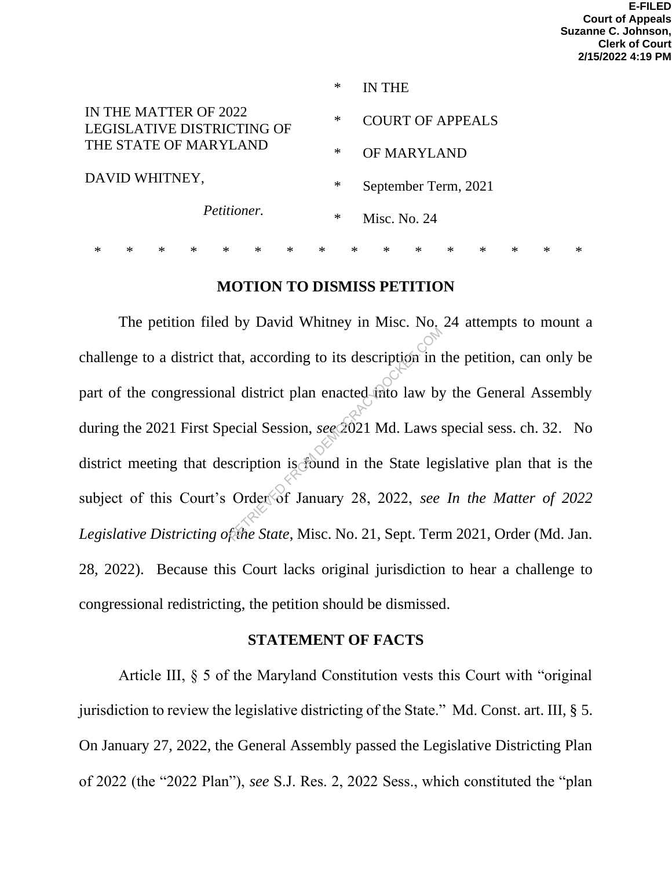|                                                                              | ∗      | <b>IN THE</b>           |
|------------------------------------------------------------------------------|--------|-------------------------|
| IN THE MATTER OF 2022<br>LEGISLATIVE DISTRICTING OF<br>THE STATE OF MARYLAND | $\ast$ | <b>COURT OF APPEALS</b> |
|                                                                              | ∗      | <b>OF MARYLAND</b>      |
| DAVID WHITNEY,                                                               | ∗      | September Term, 2021    |
| Petitioner.                                                                  | ∗      | Misc. No. 24            |
|                                                                              |        |                         |

## **MOTION TO DISMISS PETITION**

\* \* \* \* \* \* \* \* \* \* \* \* \* \* \* \*

The petition filed by David Whitney in Misc. No. 24 attempts to mount a challenge to a district that, according to its description in the petition, can only be part of the congressional district plan enacted into law by the General Assembly during the 2021 First Special Session, *see* 2021 Md. Laws special sess. ch. 32. No district meeting that description is found in the State legislative plan that is the subject of this Court's Order of January 28, 2022, *see In the Matter of 2022 Legislative Districting of the State*, Misc. No. 21, Sept. Term 2021, Order (Md. Jan. 28, 2022). Because this Court lacks original jurisdiction to hear a challenge to congressional redistricting, the petition should be dismissed. at, according to its description in the district plan enacted frito law by<br>ecial Session, see 2021 Md. Laws s<br>scription is found in the State leg<br>Order of January 28, 2022, see<br>frihe State, Misc. No. 21, Sept. Term

### **STATEMENT OF FACTS**

Article III, § 5 of the Maryland Constitution vests this Court with "original jurisdiction to review the legislative districting of the State." Md. Const. art. III, § 5. On January 27, 2022, the General Assembly passed the Legislative Districting Plan of 2022 (the "2022 Plan"), *see* S.J. Res. 2, 2022 Sess., which constituted the "plan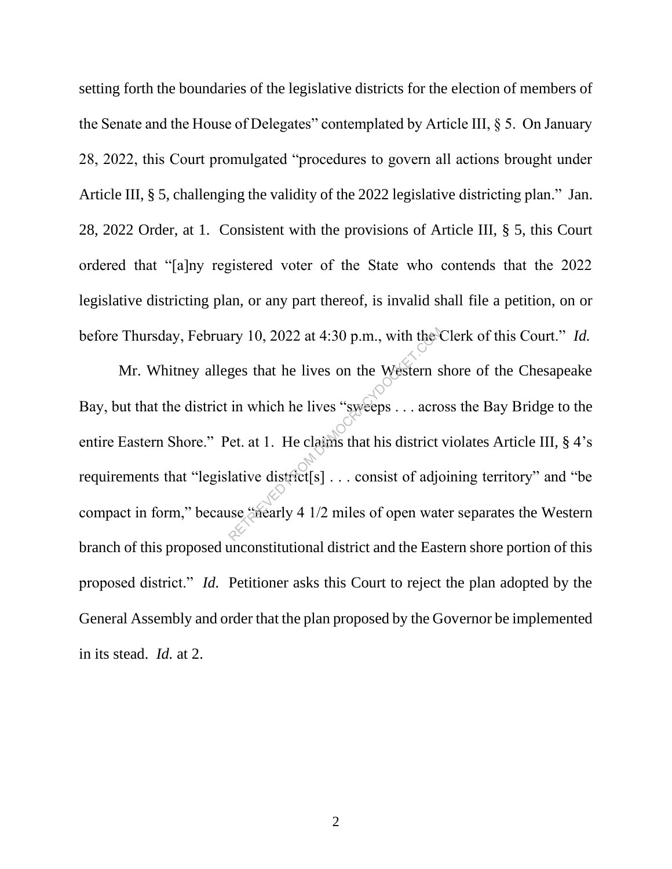setting forth the boundaries of the legislative districts for the election of members of the Senate and the House of Delegates" contemplated by Article III, § 5. On January 28, 2022, this Court promulgated "procedures to govern all actions brought under Article III, § 5, challenging the validity of the 2022 legislative districting plan." Jan. 28, 2022 Order, at 1. Consistent with the provisions of Article III, § 5, this Court ordered that "[a]ny registered voter of the State who contends that the 2022 legislative districting plan, or any part thereof, is invalid shall file a petition, on or before Thursday, February 10, 2022 at 4:30 p.m., with the Clerk of this Court." *Id.*

Mr. Whitney alleges that he lives on the Western shore of the Chesapeake Bay, but that the district in which he lives "sweeps . . . across the Bay Bridge to the entire Eastern Shore." Pet. at 1. He claims that his district violates Article III, § 4's requirements that "legislative district[s] . . . consist of adjoining territory" and "be compact in form," because "nearly 4 1/2 miles of open water separates the Western branch of this proposed unconstitutional district and the Eastern shore portion of this proposed district." *Id.* Petitioner asks this Court to reject the plan adopted by the General Assembly and order that the plan proposed by the Governor be implemented in its stead. *Id.* at 2. Allow 10, 2022 at 4:30 p.m., with the express that he lives on the Western s<br>in which he lives "sweeps . . . across in which he lives "sweeps . . . across of the lattive district same district set and the set of adjoint t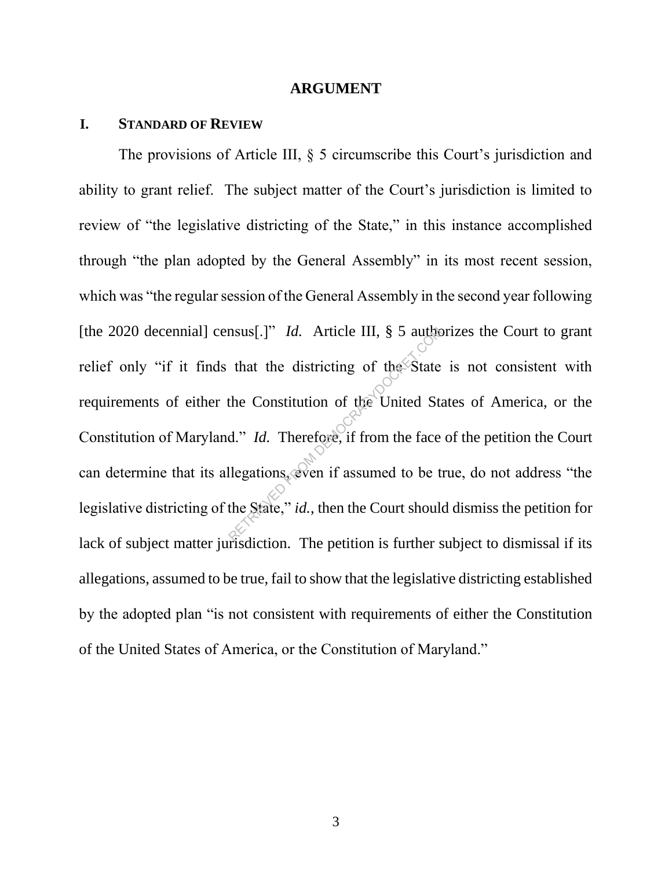#### **ARGUMENT**

### **I. STANDARD OF REVIEW**

The provisions of Article III, § 5 circumscribe this Court's jurisdiction and ability to grant relief. The subject matter of the Court's jurisdiction is limited to review of "the legislative districting of the State," in this instance accomplished through "the plan adopted by the General Assembly" in its most recent session, which was "the regular session of the General Assembly in the second year following [the 2020 decennial] census[.]" *Id.* Article III, § 5 authorizes the Court to grant relief only "if it finds that the districting of the State is not consistent with requirements of either the Constitution of the United States of America, or the Constitution of Maryland." *Id.* Therefore, if from the face of the petition the Court can determine that its allegations, even if assumed to be true, do not address "the legislative districting of the State," *id.*, then the Court should dismiss the petition for lack of subject matter jurisdiction. The petition is further subject to dismissal if its allegations, assumed to be true, fail to show that the legislative districting established by the adopted plan "is not consistent with requirements of either the Constitution of the United States of America, or the Constitution of Maryland." msus[.]" *Id.* Article III, § 5 author<br>that the districting of the State<br>the Constitution of the United State<br>d." *Id.* Therefore, if from the face<br>llegations, even if assumed to be to<br>the State," *id.*, then the Court sh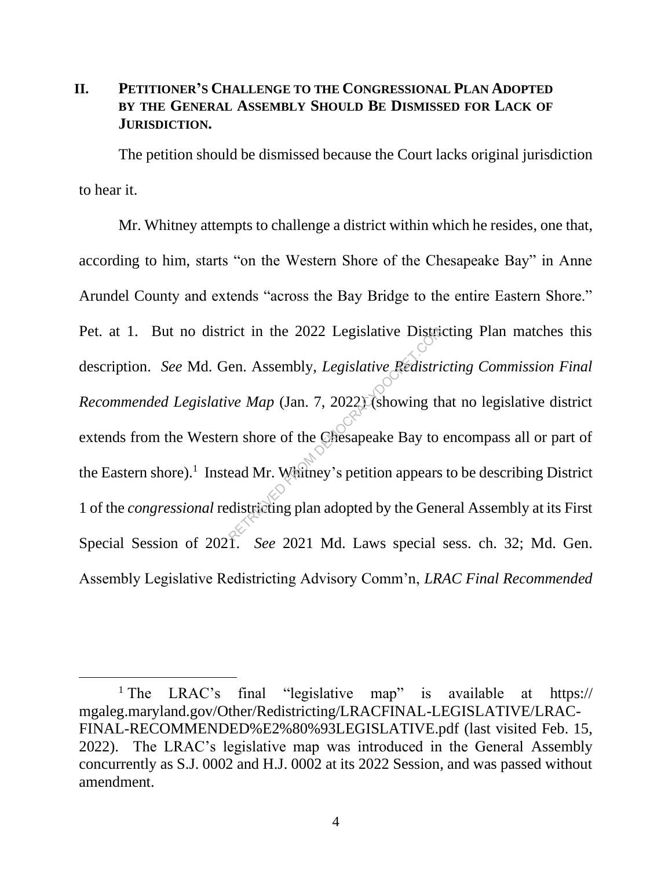## **II. PETITIONER'S CHALLENGE TO THE CONGRESSIONAL PLAN ADOPTED BY THE GENERAL ASSEMBLY SHOULD BE DISMISSED FOR LACK OF JURISDICTION.**

The petition should be dismissed because the Court lacks original jurisdiction to hear it.

Mr. Whitney attempts to challenge a district within which he resides, one that, according to him, starts "on the Western Shore of the Chesapeake Bay" in Anne Arundel County and extends "across the Bay Bridge to the entire Eastern Shore." Pet. at 1. But no district in the 2022 Legislative Districting Plan matches this description. *See* Md. Gen. Assembly, *Legislative Redistricting Commission Final Recommended Legislative Map* (Jan. 7, 2022) (showing that no legislative district extends from the Western shore of the Chesapeake Bay to encompass all or part of the Eastern shore).<sup>1</sup> Instead Mr. Whitney's petition appears to be describing District 1 of the *congressional* redistricting plan adopted by the General Assembly at its First Special Session of 2021. *See* 2021 Md. Laws special sess. ch. 32; Md. Gen. Assembly Legislative Redistricting Advisory Comm'n, *LRAC Final Recommended*  rict in the 2022 Legislative Distries<br>en. Assembly, *Legislative Redistri*<br>we Map (Jan. 7, 2022) (showing the<br>rm shore of the Chesapeake Bay to<br>ead Mr. Waitney's petition appears<br>districting plan adopted by the Gene

<sup>&</sup>lt;sup>1</sup> The LRAC's final "legislative map" is available at https:// mgaleg.maryland.gov/Other/Redistricting/LRACFINAL-LEGISLATIVE/LRAC-FINAL-RECOMMENDED%E2%80%93LEGISLATIVE.pdf (last visited Feb. 15, 2022). The LRAC's legislative map was introduced in the General Assembly concurrently as S.J. 0002 and H.J. 0002 at its 2022 Session, and was passed without amendment.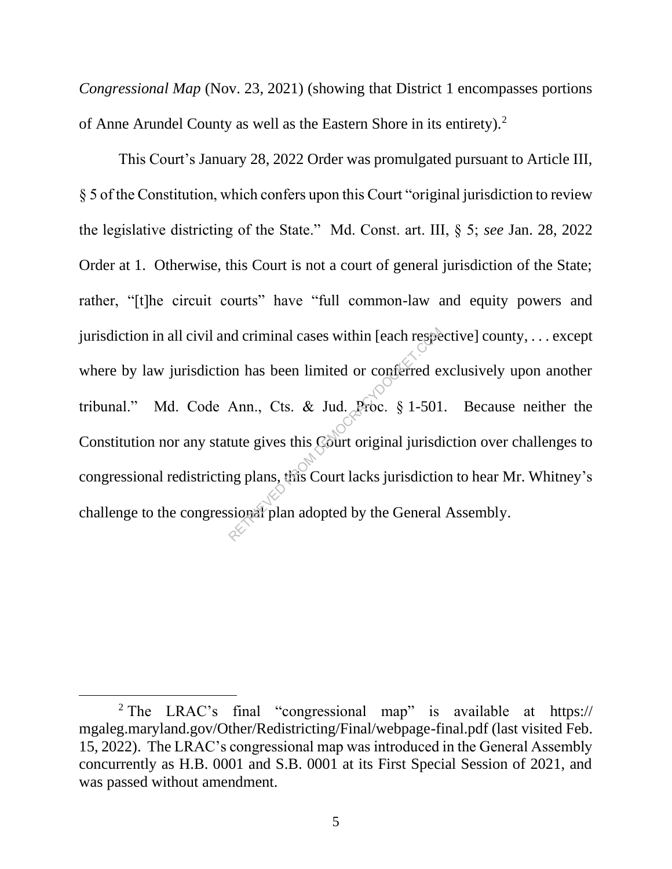*Congressional Map* (Nov. 23, 2021) (showing that District 1 encompasses portions of Anne Arundel County as well as the Eastern Shore in its entirety).<sup>2</sup>

This Court's January 28, 2022 Order was promulgated pursuant to Article III, § 5 of the Constitution, which confers upon this Court "original jurisdiction to review the legislative districting of the State." Md. Const. art. III, § 5; *see* Jan. 28, 2022 Order at 1. Otherwise, this Court is not a court of general jurisdiction of the State; rather, "[t]he circuit courts" have "full common-law and equity powers and jurisdiction in all civil and criminal cases within [each respective] county, . . . except where by law jurisdiction has been limited or conferred exclusively upon another tribunal." Md. Code Ann., Cts. & Jud. Proc. § 1-501. Because neither the Constitution nor any statute gives this Court original jurisdiction over challenges to congressional redistricting plans, this Court lacks jurisdiction to hear Mr. Whitney's challenge to the congressional plan adopted by the General Assembly. nd criminal cases within [each respears]<br>
on has been limited or conferred exercise Ann., Cts. & Jud. Proc. § 1-501<br>
tute gives this Court original jurisdictions<br>
on plans, this Court lacks jurisdictic<br>
sional plan adopted

<sup>&</sup>lt;sup>2</sup> The LRAC's final "congressional map" is available at https:// mgaleg.maryland.gov/Other/Redistricting/Final/webpage-final.pdf (last visited Feb. 15, 2022). The LRAC's congressional map was introduced in the General Assembly concurrently as H.B. 0001 and S.B. 0001 at its First Special Session of 2021, and was passed without amendment.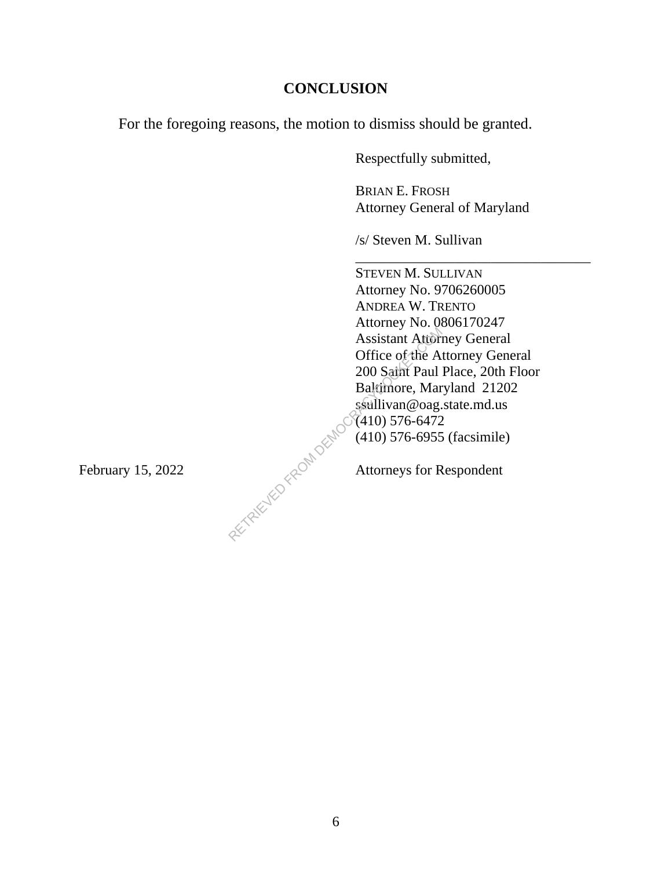## **CONCLUSION**

For the foregoing reasons, the motion to dismiss should be granted.

Respectfully submitted,

BRIAN E. FROSH Attorney General of Maryland

\_\_\_\_\_\_\_\_\_\_\_\_\_\_\_\_\_\_\_\_\_\_\_\_\_\_\_\_\_\_\_\_\_

/s/ Steven M. Sullivan

STEVEN M. SULLIVAN Attorney No. 9706260005 ANDREA W. TRENTO Attorney No. 0806170247 Assistant Attorney General Office of the Attorney General 200 Saint Paul Place, 20th Floor Baltimore, Maryland 21202 ssullivan@oag.state.md.us (410) 576-6472 (410) 576-6955 (facsimile) Assistant Attorn<br>
Office of the A<br>
200 Saint Paul<br>
Baltimore, Mar<br>
ssullivan@oag.<br>
(410) 576-6472<br>
(410) 576-6955<br>
Attorneys for R

February 15, 2022  $\sim$  Attorneys for Respondent